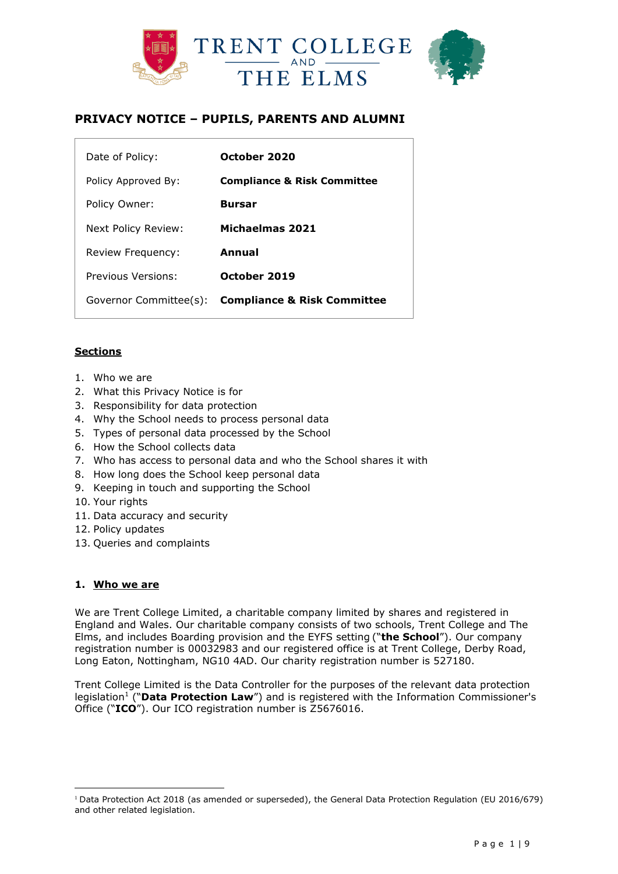

# **PRIVACY NOTICE – PUPILS, PARENTS AND ALUMNI**

| Date of Policy:        | October 2020                           |
|------------------------|----------------------------------------|
| Policy Approved By:    | <b>Compliance &amp; Risk Committee</b> |
| Policy Owner:          | <b>Bursar</b>                          |
| Next Policy Review:    | Michaelmas 2021                        |
| Review Frequency:      | Annual                                 |
| Previous Versions:     | October 2019                           |
| Governor Committee(s): | <b>Compliance &amp; Risk Committee</b> |

## **Sections**

- 1. Who we are
- 2. What this Privacy Notice is for
- 3. Responsibility for data protection
- 4. Why the School needs to process personal data
- 5. Types of personal data processed by the School
- 6. How the School collects data
- 7. Who has access to personal data and who the School shares it with
- 8. How long does the School keep personal data
- 9. Keeping in touch and supporting the School
- 10. Your rights
- 11. Data accuracy and security
- 12. Policy updates
- 13. Queries and complaints

## **1. Who we are**

 $\overline{a}$ 

We are Trent College Limited, a charitable company limited by shares and registered in England and Wales. Our charitable company consists of two schools, Trent College and The Elms, and includes Boarding provision and the EYFS setting ("**the School**"). Our company registration number is 00032983 and our registered office is at Trent College, Derby Road, Long Eaton, Nottingham, NG10 4AD. Our charity registration number is 527180.

Trent College Limited is the Data Controller for the purposes of the relevant data protection legislation<sup>1</sup> ("Data Protection Law") and is registered with the Information Commissioner's Office ("**ICO**"). Our ICO registration number is Z5676016.

<sup>1</sup> Data Protection Act 2018 (as amended or superseded), the General Data Protection Regulation (EU 2016/679) and other related legislation.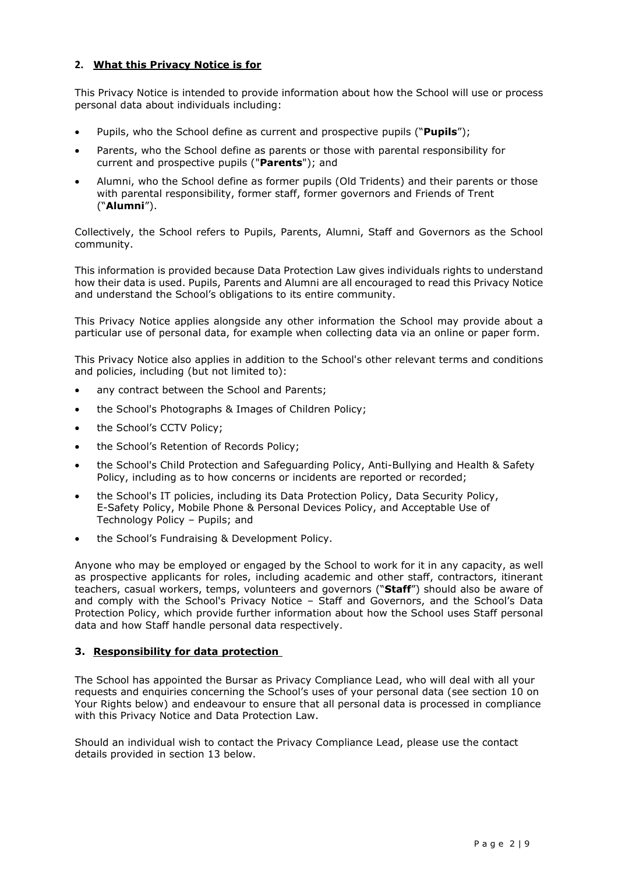## **2. What this Privacy Notice is for**

This Privacy Notice is intended to provide information about how the School will use or process personal data about individuals including:

- Pupils, who the School define as current and prospective pupils ("**Pupils**");
- Parents, who the School define as parents or those with parental responsibility for current and prospective pupils ("**Parents**"); and
- Alumni, who the School define as former pupils (Old Tridents) and their parents or those with parental responsibility, former staff, former governors and Friends of Trent ("**Alumni**").

Collectively, the School refers to Pupils, Parents, Alumni, Staff and Governors as the School community.

This information is provided because Data Protection Law gives individuals rights to understand how their data is used. Pupils, Parents and Alumni are all encouraged to read this Privacy Notice and understand the School's obligations to its entire community.

This Privacy Notice applies alongside any other information the School may provide about a particular use of personal data, for example when collecting data via an online or paper form.

This Privacy Notice also applies in addition to the School's other relevant terms and conditions and policies, including (but not limited to):

- any contract between the School and Parents;
- the School's Photographs & Images of Children Policy;
- the School's CCTV Policy;
- the School's Retention of Records Policy;
- the School's Child Protection and Safeguarding Policy, Anti-Bullying and Health & Safety Policy, including as to how concerns or incidents are reported or recorded;
- the School's IT policies, including its Data Protection Policy, Data Security Policy, E-Safety Policy, Mobile Phone & Personal Devices Policy, and Acceptable Use of Technology Policy – Pupils; and
- the School's Fundraising & Development Policy.

Anyone who may be employed or engaged by the School to work for it in any capacity, as well as prospective applicants for roles, including academic and other staff, contractors, itinerant teachers, casual workers, temps, volunteers and governors ("**Staff**") should also be aware of and comply with the School's Privacy Notice – Staff and Governors, and the School's Data Protection Policy, which provide further information about how the School uses Staff personal data and how Staff handle personal data respectively.

## **3. Responsibility for data protection**

The School has appointed the Bursar as Privacy Compliance Lead, who will deal with all your requests and enquiries concerning the School's uses of your personal data (see section 10 on Your Rights below) and endeavour to ensure that all personal data is processed in compliance with this Privacy Notice and Data Protection Law.

Should an individual wish to contact the Privacy Compliance Lead, please use the contact details provided in section 13 below.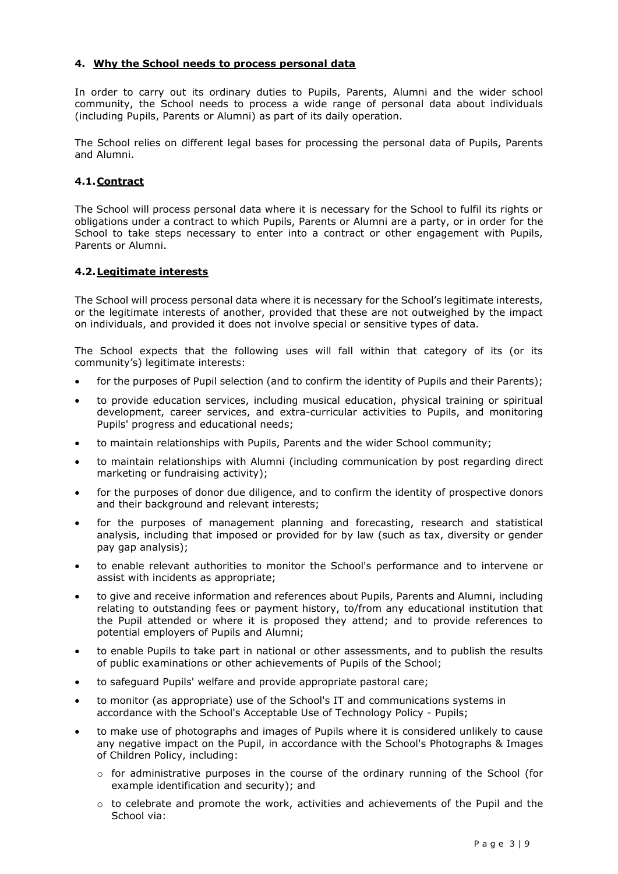### **4. Why the School needs to process personal data**

In order to carry out its ordinary duties to Pupils, Parents, Alumni and the wider school community, the School needs to process a wide range of personal data about individuals (including Pupils, Parents or Alumni) as part of its daily operation.

The School relies on different legal bases for processing the personal data of Pupils, Parents and Alumni.

## **4.1.Contract**

The School will process personal data where it is necessary for the School to fulfil its rights or obligations under a contract to which Pupils, Parents or Alumni are a party, or in order for the School to take steps necessary to enter into a contract or other engagement with Pupils, Parents or Alumni.

#### **4.2.Legitimate interests**

The School will process personal data where it is necessary for the School's legitimate interests, or the legitimate interests of another, provided that these are not outweighed by the impact on individuals, and provided it does not involve special or sensitive types of data.

The School expects that the following uses will fall within that category of its (or its community's) legitimate interests:

- for the purposes of Pupil selection (and to confirm the identity of Pupils and their Parents);
- to provide education services, including musical education, physical training or spiritual development, career services, and extra-curricular activities to Pupils, and monitoring Pupils' progress and educational needs;
- to maintain relationships with Pupils, Parents and the wider School community;
- to maintain relationships with Alumni (including communication by post regarding direct marketing or fundraising activity);
- for the purposes of donor due diligence, and to confirm the identity of prospective donors and their background and relevant interests;
- for the purposes of management planning and forecasting, research and statistical analysis, including that imposed or provided for by law (such as tax, diversity or gender pay gap analysis);
- to enable relevant authorities to monitor the School's performance and to intervene or assist with incidents as appropriate;
- to give and receive information and references about Pupils, Parents and Alumni, including relating to outstanding fees or payment history, to/from any educational institution that the Pupil attended or where it is proposed they attend; and to provide references to potential employers of Pupils and Alumni;
- to enable Pupils to take part in national or other assessments, and to publish the results of public examinations or other achievements of Pupils of the School;
- to safeguard Pupils' welfare and provide appropriate pastoral care;
- to monitor (as appropriate) use of the School's IT and communications systems in accordance with the School's Acceptable Use of Technology Policy - Pupils;
- to make use of photographs and images of Pupils where it is considered unlikely to cause any negative impact on the Pupil, in accordance with the School's Photographs & Images of Children Policy, including:
	- $\circ$  for administrative purposes in the course of the ordinary running of the School (for example identification and security); and
	- $\circ$  to celebrate and promote the work, activities and achievements of the Pupil and the School via: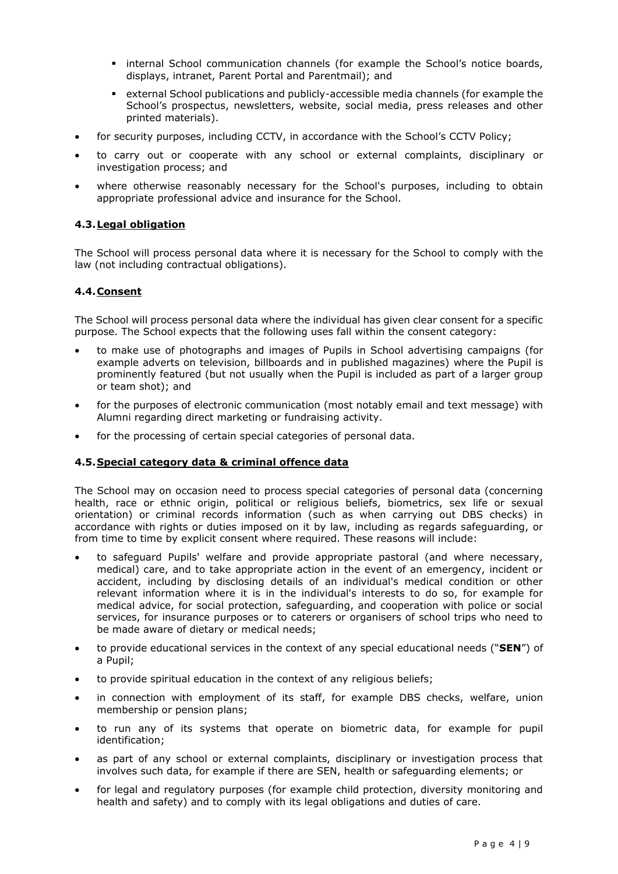- **EX internal School communication channels (for example the School's notice boards,** displays, intranet, Parent Portal and Parentmail); and
- external School publications and publicly-accessible media channels (for example the School's prospectus, newsletters, website, social media, press releases and other printed materials).
- for security purposes, including CCTV, in accordance with the School's CCTV Policy;
- to carry out or cooperate with any school or external complaints, disciplinary or investigation process; and
- where otherwise reasonably necessary for the School's purposes, including to obtain appropriate professional advice and insurance for the School.

## **4.3.Legal obligation**

The School will process personal data where it is necessary for the School to comply with the law (not including contractual obligations).

#### **4.4.Consent**

The School will process personal data where the individual has given clear consent for a specific purpose. The School expects that the following uses fall within the consent category:

- to make use of photographs and images of Pupils in School advertising campaigns (for example adverts on television, billboards and in published magazines) where the Pupil is prominently featured (but not usually when the Pupil is included as part of a larger group or team shot); and
- for the purposes of electronic communication (most notably email and text message) with Alumni regarding direct marketing or fundraising activity.
- for the processing of certain special categories of personal data.

## **4.5.Special category data & criminal offence data**

The School may on occasion need to process special categories of personal data (concerning health, race or ethnic origin, political or religious beliefs, biometrics, sex life or sexual orientation) or criminal records information (such as when carrying out DBS checks) in accordance with rights or duties imposed on it by law, including as regards safeguarding, or from time to time by explicit consent where required. These reasons will include:

- to safeguard Pupils' welfare and provide appropriate pastoral (and where necessary, medical) care, and to take appropriate action in the event of an emergency, incident or accident, including by disclosing details of an individual's medical condition or other relevant information where it is in the individual's interests to do so, for example for medical advice, for social protection, safeguarding, and cooperation with police or social services, for insurance purposes or to caterers or organisers of school trips who need to be made aware of dietary or medical needs;
- to provide educational services in the context of any special educational needs ("**SEN**") of a Pupil;
- to provide spiritual education in the context of any religious beliefs;
- in connection with employment of its staff, for example DBS checks, welfare, union membership or pension plans;
- to run any of its systems that operate on biometric data, for example for pupil identification;
- as part of any school or external complaints, disciplinary or investigation process that involves such data, for example if there are SEN, health or safeguarding elements; or
- for legal and regulatory purposes (for example child protection, diversity monitoring and health and safety) and to comply with its legal obligations and duties of care.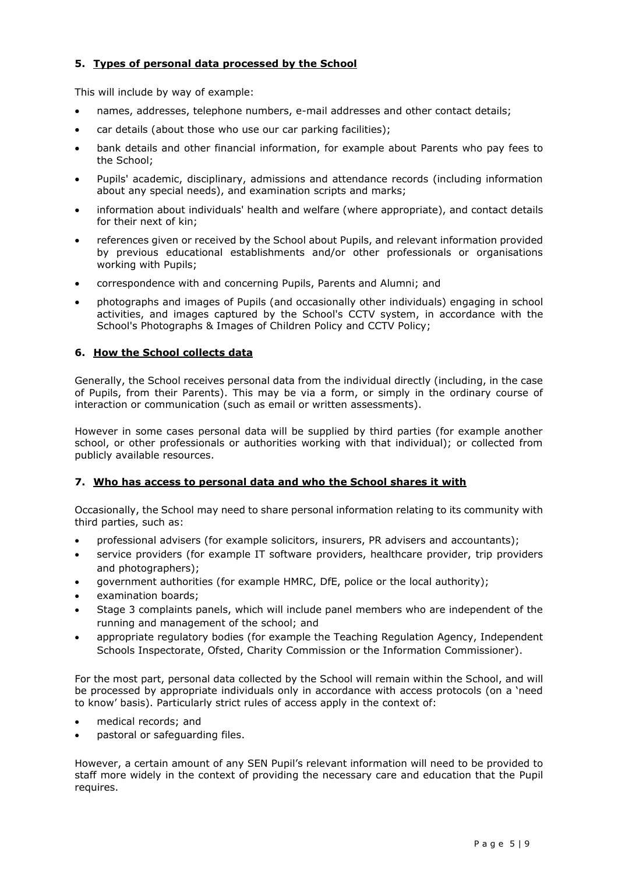## **5. Types of personal data processed by the School**

This will include by way of example:

- names, addresses, telephone numbers, e-mail addresses and other contact details;
- car details (about those who use our car parking facilities);
- bank details and other financial information, for example about Parents who pay fees to the School;
- Pupils' academic, disciplinary, admissions and attendance records (including information about any special needs), and examination scripts and marks;
- information about individuals' health and welfare (where appropriate), and contact details for their next of kin;
- references given or received by the School about Pupils, and relevant information provided by previous educational establishments and/or other professionals or organisations working with Pupils;
- correspondence with and concerning Pupils, Parents and Alumni; and
- photographs and images of Pupils (and occasionally other individuals) engaging in school activities, and images captured by the School's CCTV system, in accordance with the School's Photographs & Images of Children Policy and CCTV Policy;

## **6. How the School collects data**

Generally, the School receives personal data from the individual directly (including, in the case of Pupils, from their Parents). This may be via a form, or simply in the ordinary course of interaction or communication (such as email or written assessments).

However in some cases personal data will be supplied by third parties (for example another school, or other professionals or authorities working with that individual); or collected from publicly available resources.

## **7. Who has access to personal data and who the School shares it with**

Occasionally, the School may need to share personal information relating to its community with third parties, such as:

- professional advisers (for example solicitors, insurers, PR advisers and accountants);
- service providers (for example IT software providers, healthcare provider, trip providers and photographers);
- government authorities (for example HMRC, DfE, police or the local authority);
- examination boards;
- Stage 3 complaints panels, which will include panel members who are independent of the running and management of the school; and
- appropriate regulatory bodies (for example the Teaching Regulation Agency, [Independent](https://www.isi.net/)  [Schools Inspectorate,](https://www.isi.net/) Ofsted, Charity Commission or the Information Commissioner).

For the most part, personal data collected by the School will remain within the School, and will be processed by appropriate individuals only in accordance with access protocols (on a 'need to know' basis). Particularly strict rules of access apply in the context of:

- medical records; and
- pastoral or safeguarding files.

However, a certain amount of any SEN Pupil's relevant information will need to be provided to staff more widely in the context of providing the necessary care and education that the Pupil requires.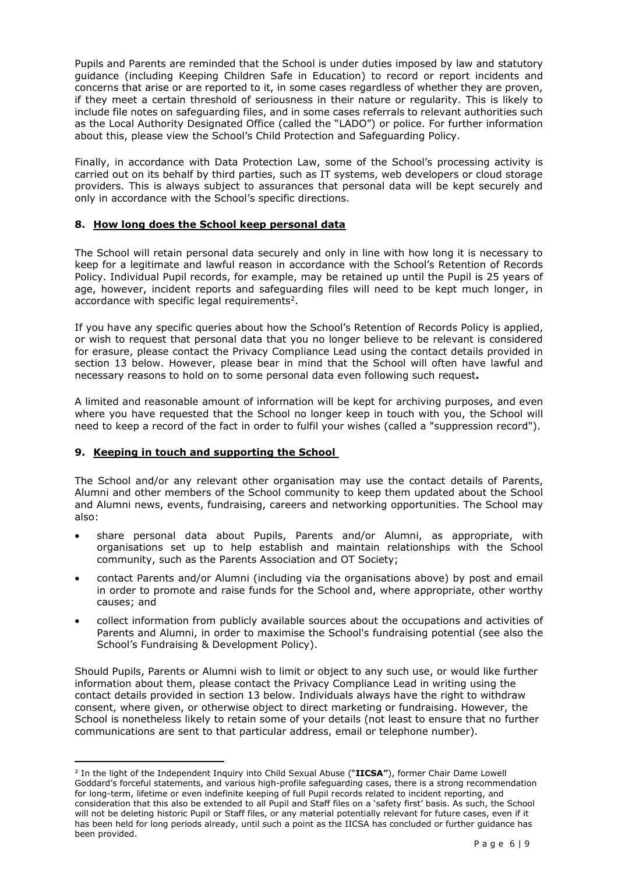Pupils and Parents are reminded that the School is under duties imposed by law and statutory guidance (including Keeping Children Safe in Education) to record or report incidents and concerns that arise or are reported to it, in some cases regardless of whether they are proven, if they meet a certain threshold of seriousness in their nature or regularity. This is likely to include file notes on safeguarding files, and in some cases referrals to relevant authorities such as the Local Authority Designated Office (called the "LADO") or police. For further information about this, please view the School's Child Protection and Safeguarding Policy.

Finally, in accordance with Data Protection Law, some of the School's processing activity is carried out on its behalf by third parties, such as IT systems, web developers or cloud storage providers. This is always subject to assurances that personal data will be kept securely and only in accordance with the School's specific directions.

### **8. How long does the School keep personal data**

The School will retain personal data securely and only in line with how long it is necessary to keep for a legitimate and lawful reason in accordance with the School's Retention of Records Policy. Individual Pupil records, for example, may be retained up until the Pupil is 25 years of age, however, incident reports and safeguarding files will need to be kept much longer, in accordance with specific legal requirements<sup>2</sup>.

If you have any specific queries about how the School's Retention of Records Policy is applied, or wish to request that personal data that you no longer believe to be relevant is considered for erasure, please contact the Privacy Compliance Lead using the contact details provided in section 13 below. However, please bear in mind that the School will often have lawful and necessary reasons to hold on to some personal data even following such request**.**

A limited and reasonable amount of information will be kept for archiving purposes, and even where you have requested that the School no longer keep in touch with you, the School will need to keep a record of the fact in order to fulfil your wishes (called a "suppression record").

## **9. Keeping in touch and supporting the School**

 $\overline{a}$ 

The School and/or any relevant other organisation may use the contact details of Parents, Alumni and other members of the School community to keep them updated about the School and Alumni news, events, fundraising, careers and networking opportunities. The School may also:

- share personal data about Pupils, Parents and/or Alumni, as appropriate, with organisations set up to help establish and maintain relationships with the School community, such as the Parents Association and OT Society;
- contact Parents and/or Alumni (including via the organisations above) by post and email in order to promote and raise funds for the School and, where appropriate, other worthy causes; and
- collect information from publicly available sources about the occupations and activities of Parents and Alumni, in order to maximise the School's fundraising potential (see also the School's Fundraising & Development Policy).

Should Pupils, Parents or Alumni wish to limit or object to any such use, or would like further information about them, please contact the Privacy Compliance Lead in writing using the contact details provided in section 13 below. Individuals always have the right to withdraw consent, where given, or otherwise object to direct marketing or fundraising. However, the School is nonetheless likely to retain some of your details (not least to ensure that no further communications are sent to that particular address, email or telephone number).

<sup>2</sup> In the light of the Independent Inquiry into Child Sexual Abuse ("**IICSA"**), former Chair Dame Lowell Goddard's forceful statements, and various high-profile safeguarding cases, there is a strong recommendation for long-term, lifetime or even indefinite keeping of full Pupil records related to incident reporting, and consideration that this also be extended to all Pupil and Staff files on a 'safety first' basis. As such, the School will not be deleting historic Pupil or Staff files, or any material potentially relevant for future cases, even if it has been held for long periods already, until such a point as the IICSA has concluded or further guidance has been provided.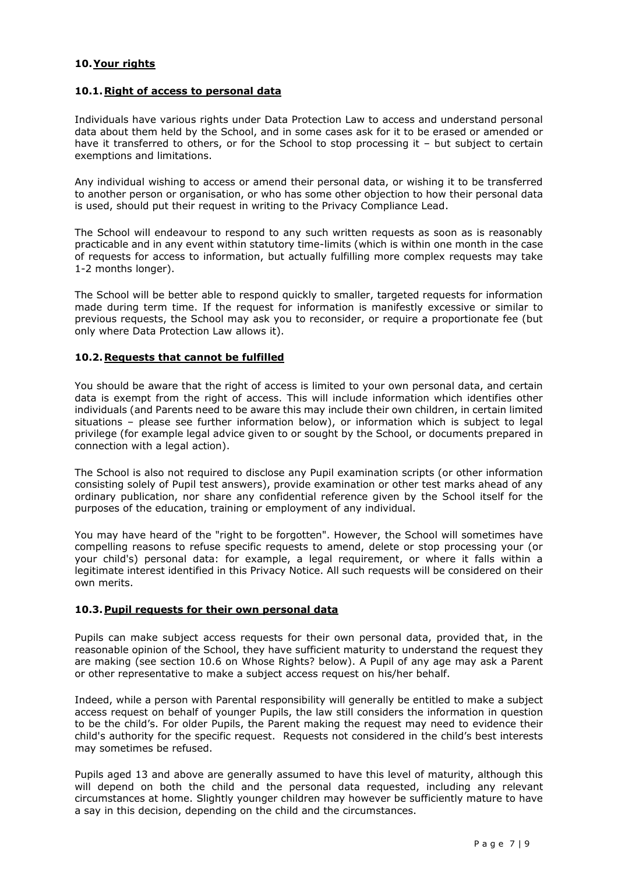## **10.Your rights**

#### **10.1.Right of access to personal data**

Individuals have various rights under Data Protection Law to access and understand personal data about them held by the School, and in some cases ask for it to be erased or amended or have it transferred to others, or for the School to stop processing it – but subject to certain exemptions and limitations.

Any individual wishing to access or amend their personal data, or wishing it to be transferred to another person or organisation, or who has some other objection to how their personal data is used, should put their request in writing to the Privacy Compliance Lead.

The School will endeavour to respond to any such written requests as soon as is reasonably practicable and in any event within statutory time-limits (which is within one month in the case of requests for access to information, but actually fulfilling more complex requests may take 1-2 months longer).

The School will be better able to respond quickly to smaller, targeted requests for information made during term time. If the request for information is manifestly excessive or similar to previous requests, the School may ask you to reconsider, or require a proportionate fee (but only where Data Protection Law allows it).

#### **10.2.Requests that cannot be fulfilled**

You should be aware that the right of access is limited to your own personal data, and certain data is exempt from the right of access. This will include information which identifies other individuals (and Parents need to be aware this may include their own children, in certain limited situations – please see further information below), or information which is subject to legal privilege (for example legal advice given to or sought by the School, or documents prepared in connection with a legal action).

The School is also not required to disclose any Pupil examination scripts (or other information consisting solely of Pupil test answers), provide examination or other test marks ahead of any ordinary publication, nor share any confidential reference given by the School itself for the purposes of the education, training or employment of any individual.

You may have heard of the "right to be forgotten". However, the School will sometimes have compelling reasons to refuse specific requests to amend, delete or stop processing your (or your child's) personal data: for example, a legal requirement, or where it falls within a legitimate interest identified in this Privacy Notice. All such requests will be considered on their own merits.

## **10.3.Pupil requests for their own personal data**

Pupils can make subject access requests for their own personal data, provided that, in the reasonable opinion of the School, they have sufficient maturity to understand the request they are making (see section 10.6 on Whose Rights? below). A Pupil of any age may ask a Parent or other representative to make a subject access request on his/her behalf.

Indeed, while a person with Parental responsibility will generally be entitled to make a subject access request on behalf of younger Pupils, the law still considers the information in question to be the child's. For older Pupils, the Parent making the request may need to evidence their child's authority for the specific request. Requests not considered in the child's best interests may sometimes be refused.

Pupils aged 13 and above are generally assumed to have this level of maturity, although this will depend on both the child and the personal data requested, including any relevant circumstances at home. Slightly younger children may however be sufficiently mature to have a say in this decision, depending on the child and the circumstances.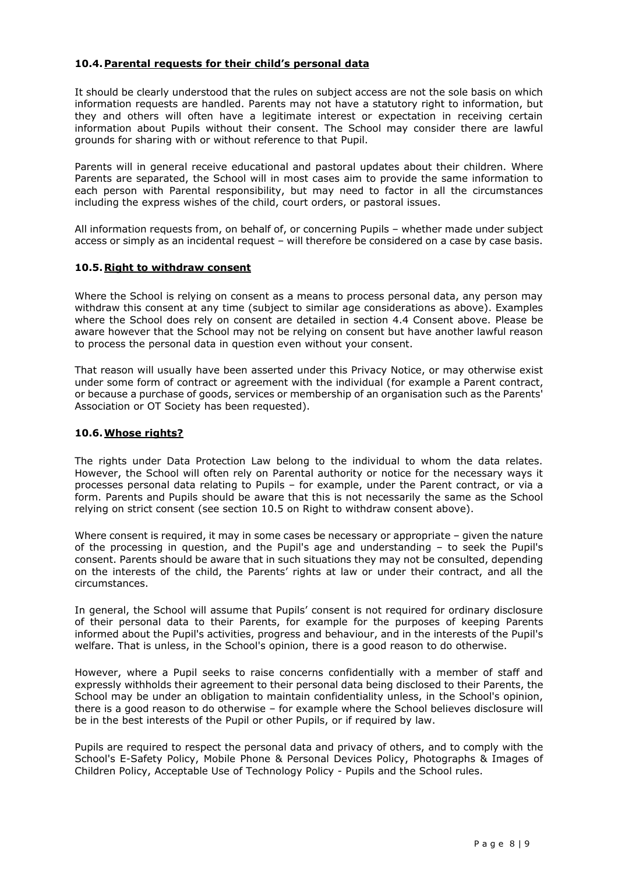## **10.4.Parental requests for their child's personal data**

It should be clearly understood that the rules on subject access are not the sole basis on which information requests are handled. Parents may not have a statutory right to information, but they and others will often have a legitimate interest or expectation in receiving certain information about Pupils without their consent. The School may consider there are lawful grounds for sharing with or without reference to that Pupil.

Parents will in general receive educational and pastoral updates about their children. Where Parents are separated, the School will in most cases aim to provide the same information to each person with Parental responsibility, but may need to factor in all the circumstances including the express wishes of the child, court orders, or pastoral issues.

All information requests from, on behalf of, or concerning Pupils – whether made under subject access or simply as an incidental request – will therefore be considered on a case by case basis.

#### **10.5.Right to withdraw consent**

Where the School is relying on consent as a means to process personal data, any person may withdraw this consent at any time (subject to similar age considerations as above). Examples where the School does rely on consent are detailed in section 4.4 Consent above. Please be aware however that the School may not be relying on consent but have another lawful reason to process the personal data in question even without your consent.

That reason will usually have been asserted under this Privacy Notice, or may otherwise exist under some form of contract or agreement with the individual (for example a Parent contract, or because a purchase of goods, services or membership of an organisation such as the Parents' Association or OT Society has been requested).

## **10.6.Whose rights?**

The rights under Data Protection Law belong to the individual to whom the data relates. However, the School will often rely on Parental authority or notice for the necessary ways it processes personal data relating to Pupils – for example, under the Parent contract, or via a form. Parents and Pupils should be aware that this is not necessarily the same as the School relying on strict consent (see section 10.5 on Right to withdraw consent above).

Where consent is required, it may in some cases be necessary or appropriate – given the nature of the processing in question, and the Pupil's age and understanding – to seek the Pupil's consent. Parents should be aware that in such situations they may not be consulted, depending on the interests of the child, the Parents' rights at law or under their contract, and all the circumstances.

In general, the School will assume that Pupils' consent is not required for ordinary disclosure of their personal data to their Parents, for example for the purposes of keeping Parents informed about the Pupil's activities, progress and behaviour, and in the interests of the Pupil's welfare. That is unless, in the School's opinion, there is a good reason to do otherwise.

However, where a Pupil seeks to raise concerns confidentially with a member of staff and expressly withholds their agreement to their personal data being disclosed to their Parents, the School may be under an obligation to maintain confidentiality unless, in the School's opinion, there is a good reason to do otherwise – for example where the School believes disclosure will be in the best interests of the Pupil or other Pupils, or if required by law.

Pupils are required to respect the personal data and privacy of others, and to comply with the School's E-Safety Policy, Mobile Phone & Personal Devices Policy, Photographs & Images of Children Policy, Acceptable Use of Technology Policy - Pupils and the School rules.